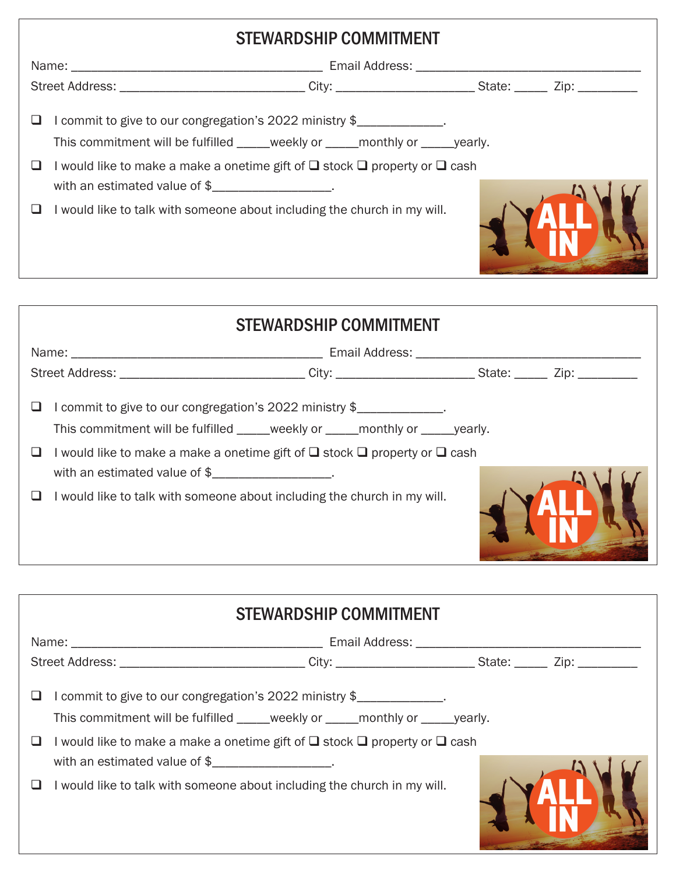| <b>STEWARDSHIP COMMITMENT</b> |                                                                                                                                                                        |  |  |  |  |  |  |
|-------------------------------|------------------------------------------------------------------------------------------------------------------------------------------------------------------------|--|--|--|--|--|--|
|                               |                                                                                                                                                                        |  |  |  |  |  |  |
|                               | Street Address: ________________________________City: ___________________________State: ________Zip: _________                                                         |  |  |  |  |  |  |
|                               | I commit to give to our congregation's 2022 ministry \$<br>This commitment will be fulfilled _____weekly or _____monthly or _____yearly.                               |  |  |  |  |  |  |
|                               | I would like to make a make a onetime gift of $\square$ stock $\square$ property or $\square$ cash<br>with an estimated value of $\frac{1}{2}$ ______________________. |  |  |  |  |  |  |
|                               | I would like to talk with someone about including the church in my will.                                                                                               |  |  |  |  |  |  |

| <b>STEWARDSHIP COMMITMENT</b>                                     |                                                                                                                                                                                                                                         |  |  |  |  |  |  |
|-------------------------------------------------------------------|-----------------------------------------------------------------------------------------------------------------------------------------------------------------------------------------------------------------------------------------|--|--|--|--|--|--|
|                                                                   |                                                                                                                                                                                                                                         |  |  |  |  |  |  |
|                                                                   | Street Address: ________________________________City: ___________________________State: ________ Zip: ________                                                                                                                          |  |  |  |  |  |  |
| with an estimated value of $\frac{1}{2}$ _______________________. | commit to give to our congregation's 2022 ministry \$<br>I would like to make a make a onetime gift of $\square$ stock $\square$ property or $\square$ cash<br>I would like to talk with someone about including the church in my will. |  |  |  |  |  |  |

| <b>STEWARDSHIP COMMITMENT</b>                                                      |                                                                                                                                                               |  |  |  |  |  |  |
|------------------------------------------------------------------------------------|---------------------------------------------------------------------------------------------------------------------------------------------------------------|--|--|--|--|--|--|
|                                                                                    |                                                                                                                                                               |  |  |  |  |  |  |
|                                                                                    | Street Address: ________________________________City: __________________________State: ________Zip: __________                                                |  |  |  |  |  |  |
|                                                                                    | I commit to give to our congregation's 2022 ministry \$<br>I would like to make a make a onetime gift of $\square$ stock $\square$ property or $\square$ cash |  |  |  |  |  |  |
| with an estimated value of $\frac{1}{2}$ measurement in the set of $\frac{1}{2}$ . | I would like to talk with someone about including the church in my will.                                                                                      |  |  |  |  |  |  |